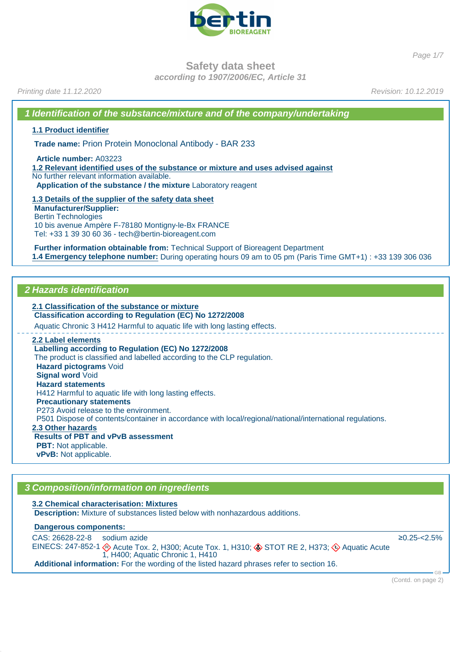

Page 1/7

**Safety data sheet**

**according to 1907/2006/EC, Article 31**

Printing date 11.12.2020 Revision: 10.12.2019

**1 Identification of the substance/mixture and of the company/undertaking**

**1.1 Product identifier**

**Trade name:** Prion Protein Monoclonal Antibody - BAR 233

**Article number:** A03223

**1.2 Relevant identified uses of the substance or mixture and uses advised against** No further relevant information available. **Application of the substance / the mixture** Laboratory reagent

**1.3 Details of the supplier of the safety data sheet Manufacturer/Supplier:** Bertin Technologies 10 bis avenue Ampère F-78180 Montigny-le-Bx FRANCE Tel: +33 1 39 30 60 36 - tech@bertin-bioreagent.com

**Further information obtainable from:** Technical Support of Bioreagent Department **1.4 Emergency telephone number:** During operating hours 09 am to 05 pm (Paris Time GMT+1) : +33 139 306 036

## **2 Hazards identification**

**2.1 Classification of the substance or mixture Classification according to Regulation (EC) No 1272/2008** Aquatic Chronic 3 H412 Harmful to aquatic life with long lasting effects. **2.2 Label elements Labelling according to Regulation (EC) No 1272/2008** The product is classified and labelled according to the CLP regulation. **Hazard pictograms** Void **Signal word** Void **Hazard statements** H412 Harmful to aquatic life with long lasting effects. **Precautionary statements** P273 Avoid release to the environment. P501 Dispose of contents/container in accordance with local/regional/national/international regulations. **2.3 Other hazards Results of PBT and vPvB assessment PBT:** Not applicable. **vPvB:** Not applicable.

## **3 Composition/information on ingredients**

**3.2 Chemical characterisation: Mixtures Description:** Mixture of substances listed below with nonhazardous additions.

**Dangerous components:** 

CAS: 26628-22-8 EINECS: 247-852-1 sodium azide  $\otimes$  Acute Tox. 2, H300; Acute Tox. 1, H310;  $\otimes$  STOT RE 2, H373;  $\otimes$  Aquatic Acute 1, H400; Aquatic Chronic 1, H410 ≥0.25-<2.5% **Additional information:** For the wording of the listed hazard phrases refer to section 16.

(Contd. on page 2)

GB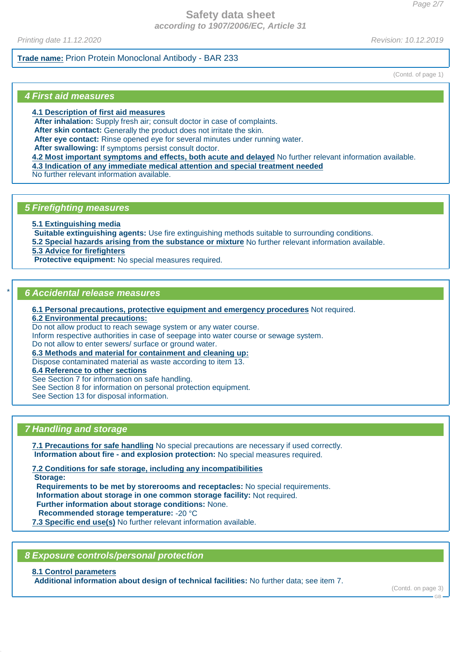## **Safety data sheet according to 1907/2006/EC, Article 31**

Printing date 11.12.2020 Revision: 10.12.2019

## **Trade name:** Prion Protein Monoclonal Antibody - BAR 233

(Contd. of page 1)

## **4 First aid measures**

**4.1 Description of first aid measures**

**After inhalation:** Supply fresh air; consult doctor in case of complaints.

**After skin contact:** Generally the product does not irritate the skin.

**After eye contact:** Rinse opened eye for several minutes under running water.

**After swallowing:** If symptoms persist consult doctor.

**4.2 Most important symptoms and effects, both acute and delayed** No further relevant information available.

**4.3 Indication of any immediate medical attention and special treatment needed**

No further relevant information available.

## **5 Firefighting measures**

**5.1 Extinguishing media**

**Suitable extinguishing agents:** Use fire extinguishing methods suitable to surrounding conditions. **5.2 Special hazards arising from the substance or mixture** No further relevant information available.

**5.3 Advice for firefighters**

**Protective equipment:** No special measures required.

## \* **6 Accidental release measures**

**6.1 Personal precautions, protective equipment and emergency procedures** Not required.

**6.2 Environmental precautions:**

Do not allow product to reach sewage system or any water course.

Inform respective authorities in case of seepage into water course or sewage system.

Do not allow to enter sewers/ surface or ground water.

**6.3 Methods and material for containment and cleaning up:**

Dispose contaminated material as waste according to item 13.

**6.4 Reference to other sections**

See Section 7 for information on safe handling.

See Section 8 for information on personal protection equipment.

See Section 13 for disposal information.

## **7 Handling and storage**

**7.1 Precautions for safe handling** No special precautions are necessary if used correctly. **Information about fire - and explosion protection:** No special measures required.

**7.2 Conditions for safe storage, including any incompatibilities**

**Storage:**

**Requirements to be met by storerooms and receptacles:** No special requirements.

**Information about storage in one common storage facility:** Not required.

**Further information about storage conditions:** None.

**Recommended storage temperature:** -20 °C

**7.3 Specific end use(s)** No further relevant information available.

**8 Exposure controls/personal protection**

## **8.1 Control parameters**

**Additional information about design of technical facilities:** No further data; see item 7.

(Contd. on page 3)

.<br>CR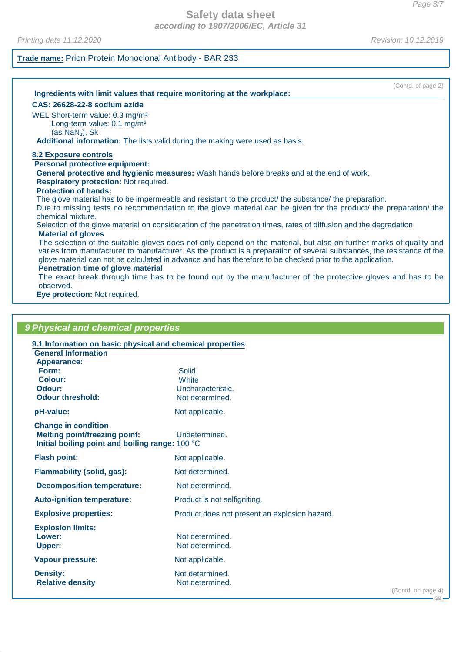## **Safety data sheet according to 1907/2006/EC, Article 31**

Printing date 11.12.2020 **Revision: 10.12.2019** 

## **Trade name:** Prion Protein Monoclonal Antibody - BAR 233

| (Contd. of page 2)                                                                                                                   |  |
|--------------------------------------------------------------------------------------------------------------------------------------|--|
| Ingredients with limit values that require monitoring at the workplace:                                                              |  |
| CAS: 26628-22-8 sodium azide                                                                                                         |  |
| WEL Short-term value: 0.3 mg/m <sup>3</sup>                                                                                          |  |
| Long-term value: 0.1 mg/m <sup>3</sup>                                                                                               |  |
| $(as\, NaN3), Sk$                                                                                                                    |  |
| Additional information: The lists valid during the making were used as basis.                                                        |  |
| <b>8.2 Exposure controls</b>                                                                                                         |  |
| <b>Personal protective equipment:</b>                                                                                                |  |
| General protective and hygienic measures: Wash hands before breaks and at the end of work.                                           |  |
| <b>Respiratory protection: Not required.</b>                                                                                         |  |
| <b>Protection of hands:</b>                                                                                                          |  |
| The glove material has to be impermeable and resistant to the product/ the substance/ the preparation.                               |  |
| Due to missing tests no recommendation to the glove material can be given for the product/ the preparation/ the<br>chemical mixture. |  |
| Selection of the glove material on consideration of the penetration times, rates of diffusion and the degradation                    |  |
| <b>Material of gloves</b>                                                                                                            |  |
| The selection of the suitable gloves does not only depend on the material, but also on further marks of quality and                  |  |
| varies from manufacturer to manufacturer. As the product is a preparation of several substances, the resistance of the               |  |
| glove material can not be calculated in advance and has therefore to be checked prior to the application.                            |  |
| Penetration time of glove material                                                                                                   |  |
| The exact break through time has to be found out by the manufacturer of the protective gloves and has to be<br>observed.             |  |
| Eve protection: Not required                                                                                                         |  |

**Eye protection:** Not required.

| 9 Physical and chemical properties                                                                                    |                                               |                    |
|-----------------------------------------------------------------------------------------------------------------------|-----------------------------------------------|--------------------|
| 9.1 Information on basic physical and chemical properties                                                             |                                               |                    |
| <b>General Information</b><br><b>Appearance:</b>                                                                      |                                               |                    |
| Form:                                                                                                                 | Solid                                         |                    |
| Colour:                                                                                                               | <b>White</b>                                  |                    |
| Odour:                                                                                                                | Uncharacteristic.                             |                    |
| <b>Odour threshold:</b>                                                                                               | Not determined.                               |                    |
| pH-value:                                                                                                             | Not applicable.                               |                    |
| <b>Change in condition</b><br><b>Melting point/freezing point:</b><br>Initial boiling point and boiling range: 100 °C | Undetermined.                                 |                    |
| <b>Flash point:</b>                                                                                                   | Not applicable.                               |                    |
| <b>Flammability (solid, gas):</b>                                                                                     | Not determined.                               |                    |
| <b>Decomposition temperature:</b>                                                                                     | Not determined.                               |                    |
| <b>Auto-ignition temperature:</b>                                                                                     | Product is not selfigniting.                  |                    |
| <b>Explosive properties:</b>                                                                                          | Product does not present an explosion hazard. |                    |
| <b>Explosion limits:</b><br>Lower:<br><b>Upper:</b>                                                                   | Not determined.<br>Not determined.            |                    |
| <b>Vapour pressure:</b>                                                                                               | Not applicable.                               |                    |
| <b>Density:</b><br><b>Relative density</b>                                                                            | Not determined.<br>Not determined.            | (Contd. on page 4) |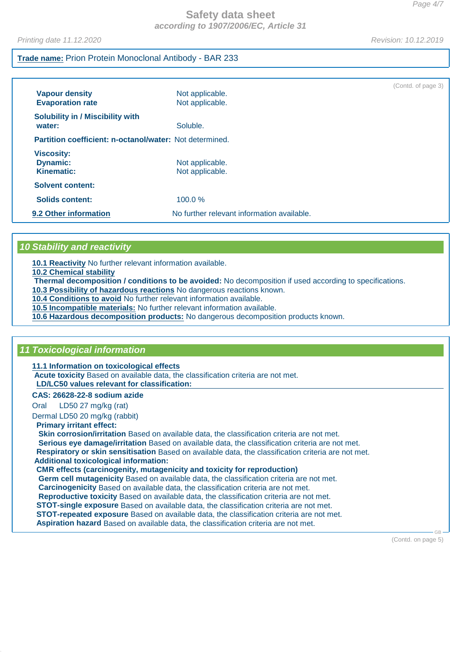Printing date 11.12.2020 Revision: 10.12.2019

## **Trade name:** Prion Protein Monoclonal Antibody - BAR 233

| <b>Vapour density</b><br><b>Evaporation rate</b>          | Not applicable.<br>Not applicable.         | (Contd. of page 3) |
|-----------------------------------------------------------|--------------------------------------------|--------------------|
| <b>Solubility in / Miscibility with</b><br>water:         | Soluble.                                   |                    |
| Partition coefficient: n-octanol/water: Not determined.   |                                            |                    |
| <b>Viscosity:</b><br><b>Dynamic:</b><br><b>Kinematic:</b> | Not applicable.<br>Not applicable.         |                    |
| <b>Solvent content:</b>                                   |                                            |                    |
| <b>Solids content:</b>                                    | 100.0%                                     |                    |
| 9.2 Other information                                     | No further relevant information available. |                    |

## **10 Stability and reactivity**

**10.1 Reactivity** No further relevant information available.

**10.2 Chemical stability**

**Thermal decomposition / conditions to be avoided:** No decomposition if used according to specifications.

**10.3 Possibility of hazardous reactions** No dangerous reactions known.

**10.4 Conditions to avoid** No further relevant information available.

**10.5 Incompatible materials:** No further relevant information available.

**10.6 Hazardous decomposition products:** No dangerous decomposition products known.

## **11 Toxicological information**

**11.1 Information on toxicological effects**

**Acute toxicity** Based on available data, the classification criteria are not met. **LD/LC50 values relevant for classification:** 

#### **CAS: 26628-22-8 sodium azide**

Oral LD50 27 mg/kg (rat)

Dermal LD50 20 mg/kg (rabbit)

#### **Primary irritant effect:**

**Skin corrosion/irritation** Based on available data, the classification criteria are not met. **Serious eye damage/irritation** Based on available data, the classification criteria are not met. **Respiratory or skin sensitisation** Based on available data, the classification criteria are not met. **Additional toxicological information:**

## **CMR effects (carcinogenity, mutagenicity and toxicity for reproduction)**

**Germ cell mutagenicity** Based on available data, the classification criteria are not met. **Carcinogenicity** Based on available data, the classification criteria are not met. **Reproductive toxicity** Based on available data, the classification criteria are not met. **STOT-single exposure** Based on available data, the classification criteria are not met. **STOT-repeated exposure** Based on available data, the classification criteria are not met. **Aspiration hazard** Based on available data, the classification criteria are not met.

(Contd. on page 5)

GB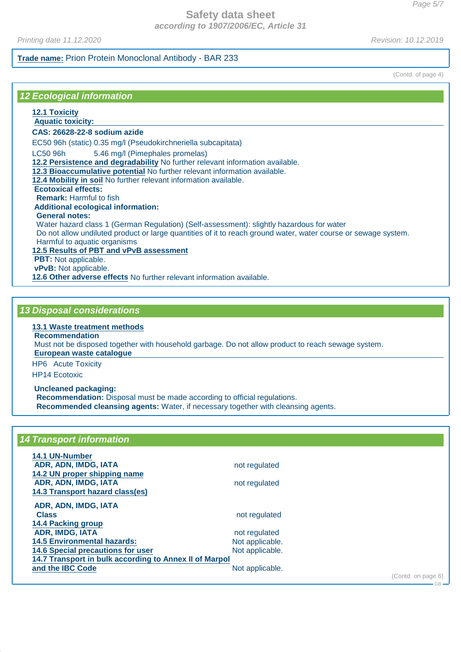## **Safety data sheet according to 1907/2006/EC, Article 31**

Printing date 11.12.2020 Revision: 10.12.2019

## **Trade name:** Prion Protein Monoclonal Antibody - BAR 233

(Contd. of page 4)

## **12 Ecological information**

## **12.1 Toxicity**

#### **Aquatic toxicity: CAS: 26628-22-8 sodium azide**

EC50 96h (static) 0.35 mg/l (Pseudokirchneriella subcapitata)

LC50 96h 5.46 mg/l (Pimephales promelas)

**12.2 Persistence and degradability** No further relevant information available.

**12.3 Bioaccumulative potential** No further relevant information available.

**12.4 Mobility in soil** No further relevant information available.

**Ecotoxical effects:**

**Remark:** Harmful to fish

# **Additional ecological information:**

**General notes:**

Water hazard class 1 (German Regulation) (Self-assessment): slightly hazardous for water

Do not allow undiluted product or large quantities of it to reach ground water, water course or sewage system. Harmful to aquatic organisms

## **12.5 Results of PBT and vPvB assessment**

**PBT:** Not applicable.

**vPvB:** Not applicable.

**12.6 Other adverse effects** No further relevant information available.

## **13 Disposal considerations**

## **13.1 Waste treatment methods**

**Recommendation**

Must not be disposed together with household garbage. Do not allow product to reach sewage system.

**European waste catalogue** 

HP6 Acute Toxicity

HP14 Ecotoxic

#### **Uncleaned packaging:**

**Recommendation:** Disposal must be made according to official regulations. **Recommended cleansing agents:** Water, if necessary together with cleansing agents.

## **14 Transport information**

| 14.1 UN-Number                                         |                 |
|--------------------------------------------------------|-----------------|
| ADR, ADN, IMDG, IATA                                   | not regulated   |
| 14.2 UN proper shipping name                           |                 |
| ADR, ADN, IMDG, IATA                                   | not regulated   |
| 14.3 Transport hazard class(es)                        |                 |
| ADR, ADN, IMDG, IATA                                   |                 |
| <b>Class</b>                                           | not regulated   |
| <b>14.4 Packing group</b>                              |                 |
| <b>ADR, IMDG, IATA</b>                                 | not regulated   |
| <b>14.5 Environmental hazards:</b>                     | Not applicable. |
| <b>14.6 Special precautions for user</b>               | Not applicable. |
| 14.7 Transport in bulk according to Annex II of Marpol |                 |
| and the <b>IBC</b> Code                                | Not applicable. |
|                                                        |                 |

(Contd. on page 6)

 $C<sub>B</sub>$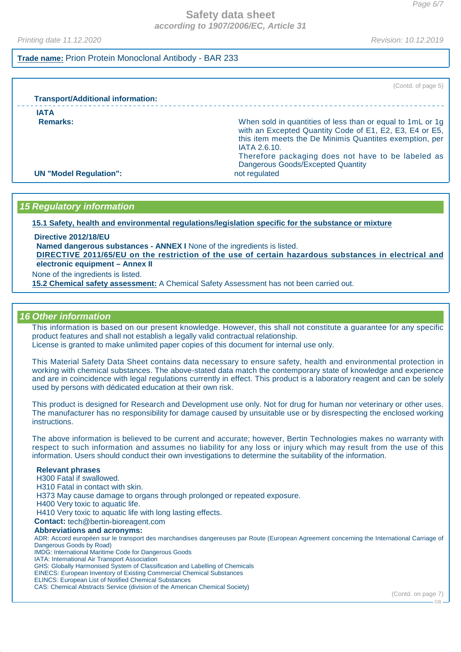Printing date 11.12.2020 Revision: 10.12.2019

## **Trade name:** Prion Protein Monoclonal Antibody - BAR 233

(Contd. of page 5) **Transport/Additional information: IATA Remarks: Remarks: Remarks: Remarks: Remarks: When sold in quantities of less than or equal to 1mL or 1g** with an Excepted Quantity Code of E1, E2, E3, E4 or E5, this item meets the De Minimis Quantites exemption, per IATA 2.6.10. Therefore packaging does not have to be labeled as Dangerous Goods/Excepted Quantity **UN "Model Regulation":** not regulated

## **15 Regulatory information**

**15.1 Safety, health and environmental regulations/legislation specific for the substance or mixture**

**Directive 2012/18/EU**

**Named dangerous substances - ANNEX I** None of the ingredients is listed.

DIRECTIVE 2011/65/EU on the restriction of the use of certain hazardous substances in electrical and **electronic equipment – Annex II**

None of the ingredients is listed.

**15.2 Chemical safety assessment:** A Chemical Safety Assessment has not been carried out.

## **16 Other information**

This information is based on our present knowledge. However, this shall not constitute a guarantee for any specific product features and shall not establish a legally valid contractual relationship. License is granted to make unlimited paper copies of this document for internal use only.

This Material Safety Data Sheet contains data necessary to ensure safety, health and environmental protection in working with chemical substances. The above-stated data match the contemporary state of knowledge and experience and are in coincidence with legal regulations currently in effect. This product is a laboratory reagent and can be solely used by persons with dédicated education at their own risk.

This product is designed for Research and Development use only. Not for drug for human nor veterinary or other uses. The manufacturer has no responsibility for damage caused by unsuitable use or by disrespecting the enclosed working instructions.

The above information is believed to be current and accurate; however, Bertin Technologies makes no warranty with respect to such information and assumes no liability for any loss or injury which may result from the use of this information. Users should conduct their own investigations to determine the suitability of the information.

#### **Relevant phrases**

H300 Fatal if swallowed.

H310 Fatal in contact with skin.

H373 May cause damage to organs through prolonged or repeated exposure.

H400 Very toxic to aquatic life.

H410 Very toxic to aquatic life with long lasting effects.

**Contact:** tech@bertin-bioreagent.com

#### **Abbreviations and acronyms:**

ADR: Accord européen sur le transport des marchandises dangereuses par Route (European Agreement concerning the International Carriage of Dangerous Goods by Road)

IMDG: International Maritime Code for Dangerous Goods

IATA: International Air Transport Association

GHS: Globally Harmonised System of Classification and Labelling of Chemicals

EINECS: European Inventory of Existing Commercial Chemical Substances ELINCS: European List of Notified Chemical Substances

CAS: Chemical Abstracts Service (division of the American Chemical Society)

(Contd. on page 7)

GB